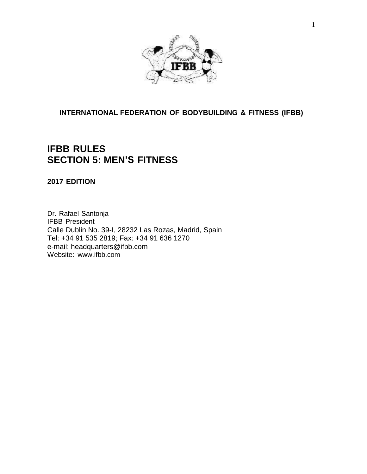

## **INTERNATIONAL FEDERATION OF BODYBUILDING & FITNESS (IFBB)**

## **IFBB RULES SECTION 5: MEN'S FITNESS**

**2017 EDITION**

Dr. Rafael Santonja IFBB President Calle Dublin No. 39-I, 28232 Las Rozas, Madrid, Spain Tel: +34 91 535 2819; Fax: +34 91 636 1270 e-mail: [headquarters@ifbb.com](mailto:%20headquarters@ifbb.com) Website: [www.ifbb.com](http://www.ifbb.com/)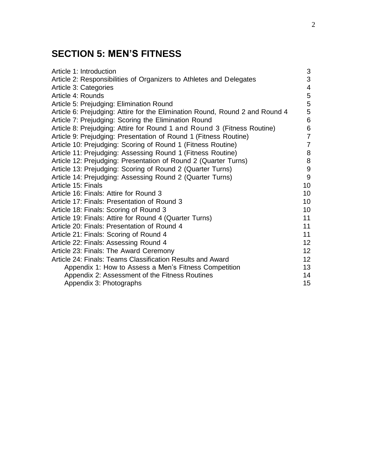# **SECTION 5: MEN'S FITNESS**

| Article 1: Introduction                                                      | $\sqrt{3}$               |
|------------------------------------------------------------------------------|--------------------------|
| Article 2: Responsibilities of Organizers to Athletes and Delegates          | 3                        |
| Article 3: Categories                                                        | $\overline{\mathcal{A}}$ |
| Article 4: Rounds                                                            | $\mathbf 5$              |
| Article 5: Prejudging: Elimination Round                                     | 5                        |
| Article 6: Prejudging: Attire for the Elimination Round, Round 2 and Round 4 | 5                        |
| Article 7: Prejudging: Scoring the Elimination Round                         | $6\phantom{1}$           |
| Article 8: Prejudging: Attire for Round 1 and Round 3 (Fitness Routine)      | $\,6$                    |
| Article 9: Prejudging: Presentation of Round 1 (Fitness Routine)             | $\overline{7}$           |
| Article 10: Prejudging: Scoring of Round 1 (Fitness Routine)                 | $\overline{7}$           |
| Article 11: Prejudging: Assessing Round 1 (Fitness Routine)                  | 8                        |
| Article 12: Prejudging: Presentation of Round 2 (Quarter Turns)              | $\,8\,$                  |
| Article 13: Prejudging: Scoring of Round 2 (Quarter Turns)                   | $\boldsymbol{9}$         |
| Article 14: Prejudging: Assessing Round 2 (Quarter Turns)                    | $9\,$                    |
| Article 15: Finals                                                           | 10                       |
| Article 16: Finals: Attire for Round 3                                       | 10                       |
| Article 17: Finals: Presentation of Round 3                                  | 10                       |
| Article 18: Finals: Scoring of Round 3                                       | 10                       |
| Article 19: Finals: Attire for Round 4 (Quarter Turns)                       | 11                       |
| Article 20: Finals: Presentation of Round 4                                  | 11                       |
| Article 21: Finals: Scoring of Round 4                                       | 11                       |
| Article 22: Finals: Assessing Round 4                                        | 12                       |
| Article 23: Finals: The Award Ceremony                                       | 12                       |
| Article 24: Finals: Teams Classification Results and Award                   | 12                       |
| Appendix 1: How to Assess a Men's Fitness Competition                        | 13                       |
| Appendix 2: Assessment of the Fitness Routines                               | 14                       |
| Appendix 3: Photographs                                                      | 15                       |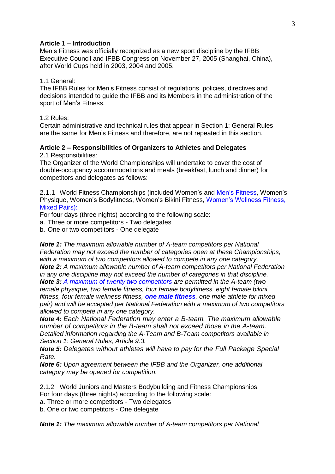#### **Article 1 – Introduction**

Men's Fitness was officially recognized as a new sport discipline by the IFBB Executive Council and IFBB Congress on November 27, 2005 (Shanghai, China), after World Cups held in 2003, 2004 and 2005.

#### 1.1 General:

The IFBB Rules for Men's Fitness consist of regulations, policies, directives and decisions intended to guide the IFBB and its Members in the administration of the sport of Men's Fitness.

#### 1.2 Rules:

Certain administrative and technical rules that appear in Section 1: General Rules are the same for Men's Fitness and therefore, are not repeated in this section.

#### **Article 2 – Responsibilities of Organizers to Athletes and Delegates** 2.1 Responsibilities:

The Organizer of the World Championships will undertake to cover the cost of double-occupancy accommodations and meals (breakfast, lunch and dinner) for competitors and delegates as follows:

2.1.1 World Fitness Championships (included Women's and Men's Fitness, Women's Physique, Women's Bodyfitness, Women's Bikini Fitness, Women's Wellness Fitness, Mixed Pairs):

For four days (three nights) according to the following scale:

a. Three or more competitors - Two delegates

b. One or two competitors - One delegate

*Note 1: The maximum allowable number of A-team competitors per National Federation may not exceed the number of categories open at these Championships, with a maximum of two competitors allowed to compete in any one category. Note 2: A maximum allowable number of A-team competitors per National Federation in any one discipline may not exceed the number of categories in that discipline.*

*Note 3: A maximum of twenty two competitors are permitted in the A-team (two female physique, two female fitness, four female bodyfitness, eight female bikini fitness, four female wellness fitness, one male fitness, one male athlete for mixed pair) and will be accepted per National Federation with a maximum of two competitors allowed to compete in any one category.*

*Note 4: Each National Federation may enter a B-team. The maximum allowable number of competitors in the B-team shall not exceed those in the A-team. Detailed information regarding the A-Team and B-Team competitors available in Section 1: General Rules, Article 9.3.* 

*Note 5: Delegates without athletes will have to pay for the Full Package Special Rate.*

*Note 6: Upon agreement between the IFBB and the Organizer, one additional category may be opened for competition.*

2.1.2 World Juniors and Masters Bodybuilding and Fitness Championships: For four days (three nights) according to the following scale:

a. Three or more competitors - Two delegates

b. One or two competitors - One delegate

*Note 1: The maximum allowable number of A-team competitors per National*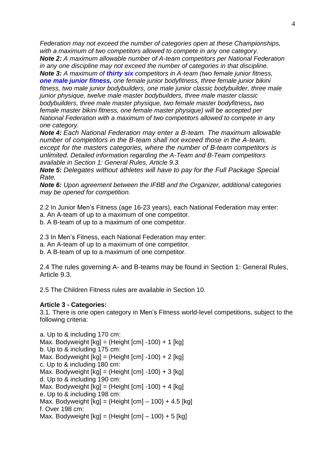*Federation may not exceed the number of categories open at these Championships, with a maximum of two competitors allowed to compete in any one category. Note 2: A maximum allowable number of A-team competitors per National Federation*

*in any one discipline may not exceed the number of categories in that discipline. Note 3: A maximum of thirty six competitors in A-team (two female junior fitness, one male junior fitness, one female junior bodyfitness, three female junior bikini fitness, two male junior bodybuilders, one male junior classic bodybuilder, three male junior physique, twelve male master bodybuilders, three male master classic bodybuilders, three male master physique, two female master bodyfitness, two female master bikini fitness, one female master physique) will be accepted per National Federation with a maximum of two competitors allowed to compete in any one category.*

*Note 4: Each National Federation may enter a B-team. The maximum allowable number of competitors in the B-team shall not exceed those in the A-team, except for the masters categories, where the number of B-team competitors is unlimited. Detailed information regarding the A-Team and B-Team competitors available in Section 1: General Rules, Article 9.3.* 

*Note 5: Delegates without athletes will have to pay for the Full Package Special Rate.*

*Note 6: Upon agreement between the IFBB and the Organizer, additional categories may be opened for competition.*

2.2 In Junior Men's Fitness (age 16-23 years), each National Federation may enter:

- a. An A-team of up to a maximum of one competitor.
- b. A B-team of up to a maximum of one competitor.

2.3 In Men's Fitness, each National Federation may enter:

a. An A-team of up to a maximum of one competitor.

b. A B-team of up to a maximum of one competitor.

2.4 The rules governing A- and B-teams may be found in Section 1: General Rules, Article 9.3.

2.5 The Children Fitness rules are available in Section 10.

## **Article 3 - Categories:**

3.1. There is one open category in Men's Fitness world-level competitions, subject to the following criteria:

a. Up to & including 170 cm: Max. Bodyweight  $[kq] = (Height [cm] -100) + 1 [kg]$ b. Up to & including 175 cm: Max. Bodyweight  $[kq] = (Height [cm] -100) + 2 [kg]$ c. Up to & including 180 cm: Max. Bodyweight  $[kg] = (Height [cm] -100) + 3 [kg]$ d. Up to & including 190 cm: Max. Bodyweight  $[kq] = (Height [cm] -100) + 4 [kg]$ e. Up to & including 198 cm: Max. Bodyweight  $[kg] = (Height [cm] - 100) + 4.5 [kg]$ f. Over 198 cm: Max. Bodyweight  $[kq] = (Height [cm] - 100) + 5 [kg]$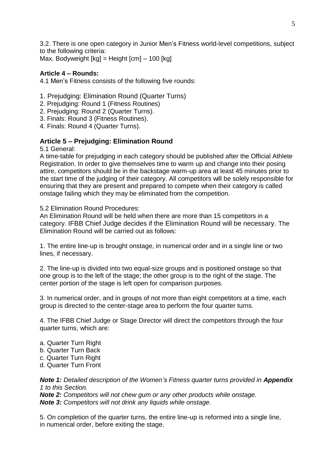3.2. There is one open category in Junior Men's Fitness world-level competitions, subject to the following criteria:

Max. Bodyweight [kg] = Height [cm] – 100 [kg]

## **Article 4 – Rounds:**

4.1 Men's Fitness consists of the following five rounds:

- 1. Prejudging: Elimination Round (Quarter Turns)
- 2. Prejudging: Round 1 (Fitness Routines)
- 2. Prejudging: Round 2 (Quarter Turns).
- 3. Finals: Round 3 (Fitness Routines).
- 4. Finals: Round 4 (Quarter Turns).

#### **Article 5 – Prejudging: Elimination Round**

5.1 General:

A time-table for prejudging in each category should be published after the Official Athlete Registration. In order to give themselves time to warm up and change into their posing attire, competitors should be in the backstage warm-up area at least 45 minutes prior to the start time of the judging of their category. All competitors will be solely responsible for ensuring that they are present and prepared to compete when their category is called onstage failing which they may be eliminated from the competition.

5.2 Elimination Round Procedures:

An Elimination Round will be held when there are more than 15 competitors in a category. IFBB Chief Judge decides if the Elimination Round will be necessary. The Elimination Round will be carried out as follows:

1. The entire line-up is brought onstage, in numerical order and in a single line or two lines, if necessary.

2. The line-up is divided into two equal-size groups and is positioned onstage so that one group is to the left of the stage; the other group is to the right of the stage. The center portion of the stage is left open for comparison purposes.

3. In numerical order, and in groups of not more than eight competitors at a time, each group is directed to the center-stage area to perform the four quarter turns.

4. The IFBB Chief Judge or Stage Director will direct the competitors through the four quarter turns, which are:

- a. Quarter Turn Right
- b. Quarter Turn Back
- c. Quarter Turn Right
- d. Quarter Turn Front

*Note 1: Detailed description of the Women's Fitness quarter turns provided in Appendix 1 to this Section.*

*Note 2: Competitors will not chew gum or any other products while onstage. Note 3: Competitors will not drink any liquids while onstage.*

5. On completion of the quarter turns, the entire line-up is reformed into a single line, in numerical order, before exiting the stage.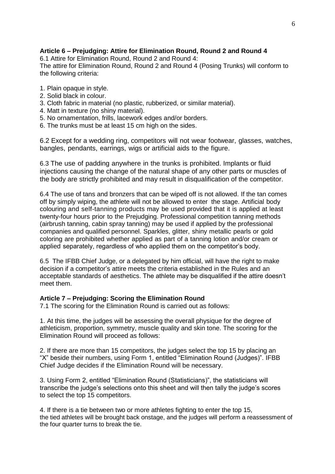## **Article 6 – Prejudging: Attire for Elimination Round, Round 2 and Round 4**

6.1 Attire for Elimination Round, Round 2 and Round 4:

The attire for Elimination Round, Round 2 and Round 4 (Posing Trunks) will conform to the following criteria:

- 1. Plain opaque in style.
- 2. Solid black in colour.
- 3. Cloth fabric in material (no plastic, rubberized, or similar material).
- 4. Matt in texture (no shiny material).
- 5. No ornamentation, frills, lacework edges and/or borders.
- 6. The trunks must be at least 15 cm high on the sides.

6.2 Except for a wedding ring, competitors will not wear footwear, glasses, watches, bangles, pendants, earrings, wigs or artificial aids to the figure.

6.3 The use of padding anywhere in the trunks is prohibited. Implants or fluid injections causing the change of the natural shape of any other parts or muscles of the body are strictly prohibited and may result in disqualification of the competitor.

6.4 The use of tans and bronzers that can be wiped off is not allowed. If the tan comes off by simply wiping, the athlete will not be allowed to enter the stage. Artificial body colouring and self-tanning products may be used provided that it is applied at least twenty-four hours prior to the Prejudging. Professional competition tanning methods (airbrush tanning, cabin spray tanning) may be used if applied by the professional companies and qualified personnel. Sparkles, glitter, shiny metallic pearls or gold coloring are prohibited whether applied as part of a tanning lotion and/or cream or applied separately, regardless of who applied them on the competitor's body.

6.5 The IFBB Chief Judge, or a delegated by him official, will have the right to make decision if a competitor's attire meets the criteria established in the Rules and an acceptable standards of aesthetics. The athlete may be disqualified if the attire doesn't meet them.

## **Article 7 – Prejudging: Scoring the Elimination Round**

7.1 The scoring for the Elimination Round is carried out as follows:

1. At this time, the judges will be assessing the overall physique for the degree of athleticism, proportion, symmetry, muscle quality and skin tone. The scoring for the Elimination Round will proceed as follows:

2. If there are more than 15 competitors, the judges select the top 15 by placing an "X" beside their numbers, using Form 1, entitled "Elimination Round (Judges)". IFBB Chief Judge decides if the Elimination Round will be necessary.

3. Using Form 2, entitled "Elimination Round (Statisticians)", the statisticians will transcribe the judge's selections onto this sheet and will then tally the judge's scores to select the top 15 competitors.

4. If there is a tie between two or more athletes fighting to enter the top 15, the tied athletes will be brought back onstage, and the judges will perform a reassessment of the four quarter turns to break the tie.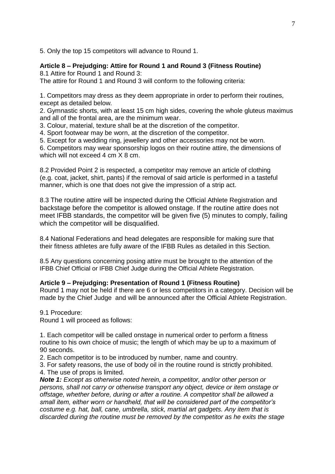5. Only the top 15 competitors will advance to Round 1.

## **Article 8 – Prejudging: Attire for Round 1 and Round 3 (Fitness Routine)**

8.1 Attire for Round 1 and Round 3:

The attire for Round 1 and Round 3 will conform to the following criteria:

1. Competitors may dress as they deem appropriate in order to perform their routines, except as detailed below.

2. Gymnastic shorts, with at least 15 cm high sides, covering the whole gluteus maximus and all of the frontal area, are the minimum wear.

3. Colour, material, texture shall be at the discretion of the competitor.

4. Sport footwear may be worn, at the discretion of the competitor.

5. Except for a wedding ring, jewellery and other accessories may not be worn.

6. Competitors may wear sponsorship logos on their routine attire, the dimensions of which will not exceed 4 cm X 8 cm.

8.2 Provided Point 2 is respected, a competitor may remove an article of clothing (e.g. coat, jacket, shirt, pants) if the removal of said article is performed in a tasteful manner, which is one that does not give the impression of a strip act.

8.3 The routine attire will be inspected during the Official Athlete Registration and backstage before the competitor is allowed onstage. If the routine attire does not meet IFBB standards, the competitor will be given five (5) minutes to comply, failing which the competitor will be disqualified.

8.4 National Federations and head delegates are responsible for making sure that their fitness athletes are fully aware of the IFBB Rules as detailed in this Section.

8.5 Any questions concerning posing attire must be brought to the attention of the IFBB Chief Official or IFBB Chief Judge during the Official Athlete Registration.

#### **Article 9 – Prejudging: Presentation of Round 1 (Fitness Routine)**

Round 1 may not be held if there are 6 or less competitors in a category. Decision will be made by the Chief Judge and will be announced after the Official Athlete Registration.

9.1 Procedure: Round 1 will proceed as follows:

1. Each competitor will be called onstage in numerical order to perform a fitness routine to his own choice of music; the length of which may be up to a maximum of 90 seconds.

2. Each competitor is to be introduced by number, name and country.

3. For safety reasons, the use of body oil in the routine round is strictly prohibited. 4. The use of props is limited.

*Note 1: Except as otherwise noted herein, a competitor, and/or other person or persons, shall not carry or otherwise transport any object, device or item onstage or offstage, whether before, during or after a routine. A competitor shall be allowed a small item, either worn or handheld, that will be considered part of the competitor's costume e.g. hat, ball, cane, umbrella, stick, martial art gadgets. Any item that is discarded during the routine must be removed by the competitor as he exits the stage*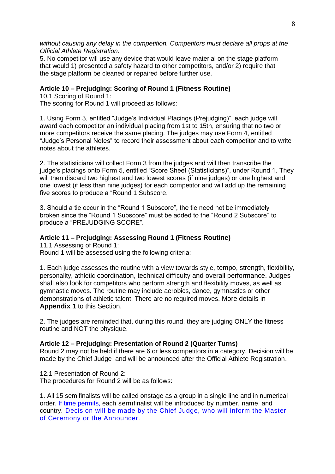*without causing any delay in the competition. Competitors must declare all props at the Official Athlete Registration.*

5. No competitor will use any device that would leave material on the stage platform that would 1) presented a safety hazard to other competitors, and/or 2) require that the stage platform be cleaned or repaired before further use.

#### **Article 10 – Prejudging: Scoring of Round 1 (Fitness Routine)**

10.1 Scoring of Round 1: The scoring for Round 1 will proceed as follows:

1. Using Form 3, entitled "Judge's Individual Placings (Prejudging)", each judge will award each competitor an individual placing from 1st to 15th, ensuring that no two or more competitors receive the same placing. The judges may use Form 4, entitled "Judge's Personal Notes" to record their assessment about each competitor and to write notes about the athletes.

2. The statisticians will collect Form 3 from the judges and will then transcribe the judge's placings onto Form 5, entitled "Score Sheet (Statisticians)", under Round 1. They will then discard two highest and two lowest scores (if nine judges) or one highest and one lowest (if less than nine judges) for each competitor and will add up the remaining five scores to produce a "Round 1 Subscore.

3. Should a tie occur in the "Round 1 Subscore", the tie need not be immediately broken since the "Round 1 Subscore" must be added to the "Round 2 Subscore" to produce a "PREJUDGING SCORE".

#### **Article 11 – Prejudging: Assessing Round 1 (Fitness Routine)**

11.1 Assessing of Round 1:

Round 1 will be assessed using the following criteria:

1. Each judge assesses the routine with a view towards style, tempo, strength, flexibility, personality, athletic coordination, technical difficulty and overall performance. Judges shall also look for competitors who perform strength and flexibility moves, as well as gymnastic moves. The routine may include aerobics, dance, gymnastics or other demonstrations of athletic talent. There are no required moves. More details in **Appendix 1** to this Section.

2. The judges are reminded that, during this round, they are judging ONLY the fitness routine and NOT the physique.

#### **Article 12 – Prejudging: Presentation of Round 2 (Quarter Turns)**

Round 2 may not be held if there are 6 or less competitors in a category. Decision will be made by the Chief Judge and will be announced after the Official Athlete Registration.

12.1 Presentation of Round 2: The procedures for Round 2 will be as follows:

1. All 15 semifinalists will be called onstage as a group in a single line and in numerical order. If time permits, each semifinalist will be introduced by number, name, and country. Decision will be made by the Chief Judge, who will inform the Master of Ceremony or the Announcer.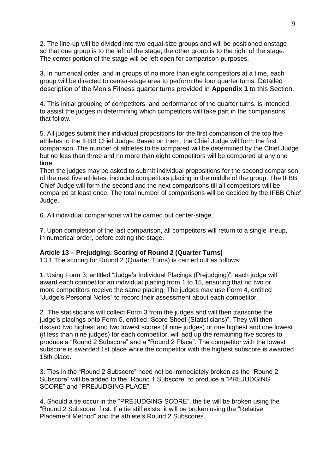2. The line-up will be divided into two equal-size groups and will be positioned onstage so that one group is to the left of the stage; the other group is to the right of the stage. The center portion of the stage will be left open for comparison purposes.

3. In numerical order, and in groups of no more than eight competitors at a time, each group will be directed to center-stage area to perform the four quarter turns. Detailed description of the Men's Fitness quarter turns provided in **Appendix 1** to this Section.

4. This initial grouping of competitors, and performance of the quarter turns, is intended to assist the judges in determining which competitors will take part in the comparisons that follow.

5. All judges submit their individual propositions for the first comparison of the top five athletes to the IFBB Chief Judge. Based on them, the Chief Judge will form the first comparison. The number of athletes to be compared will be determined by the Chief Judge but no less than three and no more than eight competitors will be compared at any one time.

Then the judges may be asked to submit individual propositions for the second comparison of the next five athletes, included competitors placing in the middle of the group. The IFBB Chief Judge will form the second and the next comparisons till all competitors will be compared at least once. The total number of comparisons will be decided by the IFBB Chief Judge.

6. All individual comparisons will be carried out center-stage.

7. Upon completion of the last comparison, all competitors will return to a single lineup, in numerical order, before exiting the stage.

## **Article 13 – Prejudging: Scoring of Round 2 (Quarter Turns)**

13.1 The scoring for Round 2 (Quarter Turns) is carried out as follows:

1. Using Form 3, entitled "Judge's Individual Placings (Prejudging)", each judge will award each competitor an individual placing from 1 to 15, ensuring that no two or more competitors receive the same placing. The judges may use Form 4, entitled "Judge's Personal Notes" to record their assessment about each competitor.

2. The statisticians will collect Form 3 from the judges and will then transcribe the judge's placings onto Form 5, entitled "Score Sheet (Statisticians)". They will then discard two highest and two lowest scores (if nine judges) or one highest and one lowest (if less than nine judges) for each competitor, will add up the remaining five scores to produce a "Round 2 Subscore" and a "Round 2 Place". The competitor with the lowest subscore is awarded 1st place while the competitor with the highest subscore is awarded 15th place.

3. Ties in the "Round 2 Subscore" need not be immediately broken as the "Round 2 Subscore" will be added to the "Round 1 Subscore" to produce a "PREJUDGING SCORE" and "PREJUDGING PLACE".

4. Should a tie occur in the "PREJUDGING SCORE", the tie will be broken using the "Round 2 Subscore" first. If a tie still exists, it will be broken using the "Relative Placement Method" and the athlete's Round 2 Subscores.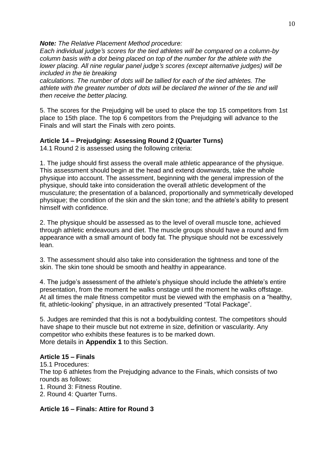*Note: The Relative Placement Method procedure:*

*Each individual judge's scores for the tied athletes will be compared on a column-by column basis with a dot being placed on top of the number for the athlete with the lower placing. All nine regular panel judge's scores (except alternative judges) will be included in the tie breaking*

*calculations. The number of dots will be tallied for each of the tied athletes. The athlete with the greater number of dots will be declared the winner of the tie and will then receive the better placing.*

5. The scores for the Prejudging will be used to place the top 15 competitors from 1st place to 15th place. The top 6 competitors from the Prejudging will advance to the Finals and will start the Finals with zero points.

#### **Article 14 – Prejudging: Assessing Round 2 (Quarter Turns)**

14.1 Round 2 is assessed using the following criteria:

1. The judge should first assess the overall male athletic appearance of the physique. This assessment should begin at the head and extend downwards, take the whole physique into account. The assessment, beginning with the general impression of the physique, should take into consideration the overall athletic development of the musculature; the presentation of a balanced, proportionally and symmetrically developed physique; the condition of the skin and the skin tone; and the athlete's ability to present himself with confidence.

2. The physique should be assessed as to the level of overall muscle tone, achieved through athletic endeavours and diet. The muscle groups should have a round and firm appearance with a small amount of body fat. The physique should not be excessively lean.

3. The assessment should also take into consideration the tightness and tone of the skin. The skin tone should be smooth and healthy in appearance.

4. The judge's assessment of the athlete's physique should include the athlete's entire presentation, from the moment he walks onstage until the moment he walks offstage. At all times the male fitness competitor must be viewed with the emphasis on a "healthy, fit, athletic-looking" physique, in an attractively presented "Total Package".

5. Judges are reminded that this is not a bodybuilding contest. The competitors should have shape to their muscle but not extreme in size, definition or vascularity. Any competitor who exhibits these features is to be marked down. More details in **Appendix 1** to this Section.

#### **Article 15 – Finals**

15.1 Procedures: The top 6 athletes from the Prejudging advance to the Finals, which consists of two rounds as follows:

1. Round 3: Fitness Routine.

2. Round 4: Quarter Turns.

#### **Article 16 – Finals: Attire for Round 3**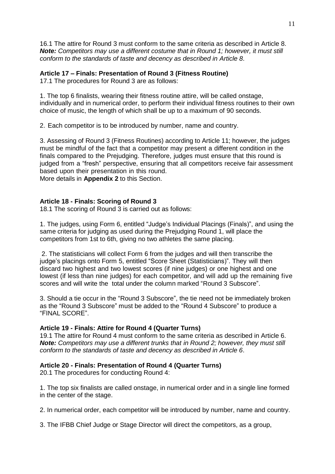16.1 The attire for Round 3 must conform to the same criteria as described in Article 8. *Note: Competitors may use a different costume that in Round 1; however, it must still conform to the standards of taste and decency as described in Article 8*.

#### **Article 17 – Finals: Presentation of Round 3 (Fitness Routine)**

17.1 The procedures for Round 3 are as follows:

1. The top 6 finalists, wearing their fitness routine attire, will be called onstage, individually and in numerical order, to perform their individual fitness routines to their own choice of music, the length of which shall be up to a maximum of 90 seconds.

2. Each competitor is to be introduced by number, name and country.

3. Assessing of Round 3 (Fitness Routines) according to Article 11; however, the judges must be mindful of the fact that a competitor may present a different condition in the finals compared to the Prejudging. Therefore, judges must ensure that this round is judged from a "fresh" perspective, ensuring that all competitors receive fair assessment based upon their presentation in this round.

More details in **Appendix 2** to this Section.

## **Article 18 - Finals: Scoring of Round 3**

18.1 The scoring of Round 3 is carried out as follows:

1. The judges, using Form 6, entitled "Judge's Individual Placings (Finals)", and using the same criteria for judging as used during the Prejudging Round 1, will place the competitors from 1st to 6th, giving no two athletes the same placing.

2. The statisticians will collect Form 6 from the judges and will then transcribe the judge's placings onto Form 5, entitled "Score Sheet (Statisticians)". They will then discard two highest and two lowest scores (if nine judges) or one highest and one lowest (if less than nine judges) for each competitor, and will add up the remaining five scores and will write the total under the column marked "Round 3 Subscore".

3. Should a tie occur in the "Round 3 Subscore", the tie need not be immediately broken as the "Round 3 Subscore" must be added to the "Round 4 Subscore" to produce a "FINAL SCORE".

## **Article 19 - Finals: Attire for Round 4 (Quarter Turns)**

19.1 The attire for Round 4 must conform to the same criteria as described in Article 6. *Note: Competitors may use a different trunks that in Round 2; however, they must still conform to the standards of taste and decency as described in Article 6*.

## **Article 20 - Finals: Presentation of Round 4 (Quarter Turns)**

20.1 The procedures for conducting Round 4:

1. The top six finalists are called onstage, in numerical order and in a single line formed in the center of the stage.

2. In numerical order, each competitor will be introduced by number, name and country.

3. The IFBB Chief Judge or Stage Director will direct the competitors, as a group,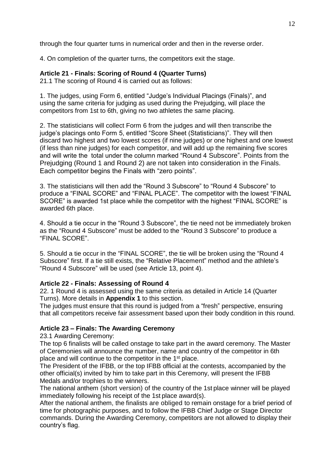through the four quarter turns in numerical order and then in the reverse order.

4. On completion of the quarter turns, the competitors exit the stage.

#### **Article 21 - Finals: Scoring of Round 4 (Quarter Turns)**

21.1 The scoring of Round 4 is carried out as follows:

1. The judges, using Form 6, entitled "Judge's Individual Placings (Finals)", and using the same criteria for judging as used during the Prejudging, will place the competitors from 1st to 6th, giving no two athletes the same placing.

2. The statisticians will collect Form 6 from the judges and will then transcribe the judge's placings onto Form 5, entitled "Score Sheet (Statisticians)". They will then discard two highest and two lowest scores (if nine judges) or one highest and one lowest (if less than nine judges) for each competitor, and will add up the remaining five scores and will write the total under the column marked "Round 4 Subscore". Points from the Prejudging (Round 1 and Round 2) are not taken into consideration in the Finals. Each competitor begins the Finals with "zero points".

3. The statisticians will then add the "Round 3 Subscore" to "Round 4 Subscore" to produce a "FINAL SCORE" and "FINAL PLACE". The competitor with the lowest "FINAL SCORE" is awarded 1st place while the competitor with the highest "FINAL SCORE" is awarded 6th place.

4. Should a tie occur in the "Round 3 Subscore", the tie need not be immediately broken as the "Round 4 Subscore" must be added to the "Round 3 Subscore" to produce a "FINAL SCORE".

5. Should a tie occur in the "FINAL SCORE", the tie will be broken using the "Round 4 Subscore" first. If a tie still exists, the "Relative Placement" method and the athlete's "Round 4 Subscore" will be used (see Article 13, point 4).

## **Article 22 - Finals: Assessing of Round 4**

22. 1 Round 4 is assessed using the same criteria as detailed in Article 14 (Quarter Turns). More details in **Appendix 1** to this section.

The judges must ensure that this round is judged from a "fresh" perspective, ensuring that all competitors receive fair assessment based upon their body condition in this round.

## **Article 23 – Finals: The Awarding Ceremony**

23.1 Awarding Ceremony:

The top 6 finalists will be called onstage to take part in the award ceremony. The Master of Ceremonies will announce the number, name and country of the competitor in 6th place and will continue to the competitor in the 1<sup>st</sup> place.

The President of the IFBB, or the top IFBB official at the contests, accompanied by the other official(s) invited by him to take part in this Ceremony, will present the IFBB Medals and/or trophies to the winners.

The national anthem (short version) of the country of the 1st place winner will be played immediately following his receipt of the 1st place award(s).

After the national anthem, the finalists are obliged to remain onstage for a brief period of time for photographic purposes, and to follow the IFBB Chief Judge or Stage Director commands. During the Awarding Ceremony, competitors are not allowed to display their country's flag.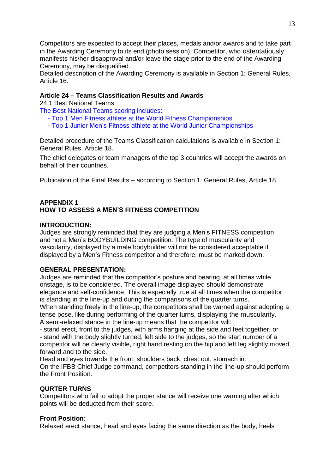Competitors are expected to accept their places, medals and/or awards and to take part in the Awarding Ceremony to its end (photo session). Competitor, who ostentatiously manifests his/her disapproval and/or leave the stage prior to the end of the Awarding Ceremony, may be disqualified.

Detailed description of the Awarding Ceremony is available in Section 1: General Rules, Article 16.

## **Article 24 – Teams Classification Results and Awards**

24.1 Best National Teams:

The Best National Teams scoring includes:

- Top 1 Men Fitness athlete at the World Fitness Championships
- Top 1 Junior Men's Fitness athlete at the World Junior Championships

Detailed procedure of the Teams Classification calculations is available in Section 1: General Rules, Article 18.

The chief delegates or team managers of the top 3 countries will accept the awards on behalf of their countries.

Publication of the Final Results – according to Section 1: General Rules, Article 18.

## **APPENDIX 1 HOW TO ASSESS A MEN'S FITNESS COMPETITION**

#### **INTRODUCTION:**

Judges are strongly reminded that they are judging a Men's FITNESS competition and not a Men's BODYBUILDING competition. The type of muscularity and vascularity, displayed by a male bodybuilder will not be considered acceptable if displayed by a Men's Fitness competitor and therefore, must be marked down.

#### **GENERAL PRESENTATION:**

Judges are reminded that the competitor's posture and bearing, at all times while onstage, is to be considered. The overall image displayed should demonstrate elegance and self-confidence. This is especially true at all times when the competitor is standing in the line-up and during the comparisons of the quarter turns.

When standing freely in the line-up, the competitors shall be warned against adopting a tense pose, like during performing of the quarter turns, displaying the muscularity. A semi-relaxed stance in the line-up means that the competitor will:

- stand erect, front to the judges, with arms hanging at the side and feet together, or - stand with the body slightly turned, left side to the judges, so the start number of a competitor will be clearly visible, right hand resting on the hip and left leg slightly moved forward and to the side.

Head and eyes towards the front, shoulders back, chest out, stomach in. On the IFBB Chief Judge command, competitors standing in the line-up should perform the Front Position.

#### **QURTER TURNS**

Competitors who fail to adopt the proper stance will receive one warning after which points will be deducted from their score.

## **Front Position:**

Relaxed erect stance, head and eyes facing the same direction as the body, heels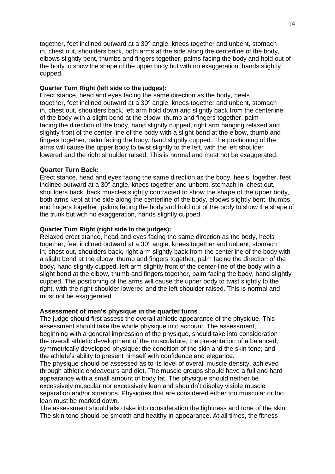together, feet inclined outward at a 30° angle, knees together and unbent, stomach in, chest out, shoulders back, both arms at the side along the centerline of the body, elbows slightly bent, thumbs and fingers together, palms facing the body and hold out of the body to show the shape of the upper body but with no exaggeration, hands slightly cupped.

#### **Quarter Turn Right (left side to the judges):**

Erect stance, head and eyes facing the same direction as the body, heels together, feet inclined outward at a 30° angle, knees together and unbent, stomach in, chest out, shoulders back, left arm hold down and slightly back from the centerline of the body with a slight bend at the elbow, thumb and fingers together, palm facing the direction of the body, hand slightly cupped, right arm hanging relaxed and slightly front of the center-line of the body with a slight bend at the elbow, thumb and fingers together, palm facing the body, hand slightly cupped. The positioning of the arms will cause the upper body to twist slightly to the left, with the left shoulder lowered and the right shoulder raised. This is normal and must not be exaggerated.

#### **Quarter Turn Back:**

Erect stance, head and eyes facing the same direction as the body, heels together, feet inclined outward at a 30° angle, knees together and unbent, stomach in, chest out, shoulders back, back muscles slightly contracted to show the shape of the upper body, both arms kept at the side along the centerline of the body, elbows slightly bent, thumbs and fingers together, palms facing the body and hold out of the body to show the shape of the trunk but with no exaggeration, hands slightly cupped.

#### **Quarter Turn Right (right side to the judges):**

Relaxed erect stance, head and eyes facing the same direction as the body, heels together, feet inclined outward at a 30° angle, knees together and unbent, stomach in, chest out, shoulders back, right arm slightly back from the centerline of the body with a slight bend at the elbow, thumb and fingers together, palm facing the direction of the body, hand slightly cupped, left arm slightly front of the center-line of the body with a slight bend at the elbow, thumb and fingers together, palm facing the body, hand slightly cupped. The positioning of the arms will cause the upper body to twist slightly to the right, with the right shoulder lowered and the left shoulder raised. This is normal and must not be exaggerated.

#### **Assessment of men's physique in the quarter turns**

The judge should first assess the overall athletic appearance of the physique. This assessment should take the whole physique into account. The assessment, beginning with a general impression of the physique, should take into consideration the overall athletic development of the musculature; the presentation of a balanced, symmetrically developed physique; the condition of the skin and the skin tone; and the athlete's ability to present himself with confidence and elegance.

The physique should be assessed as to its level of overall muscle density, achieved through athletic endeavours and diet. The muscle groups should have a full and hard appearance with a small amount of body fat. The physique should neither be excessively muscular nor excessively lean and shouldn't display visible muscle separation and/or striations. Physiques that are considered either too muscular or too lean must be marked down.

The assessment should also take into consideration the tightness and tone of the skin. The skin tone should be smooth and healthy in appearance. At all times, the fitness